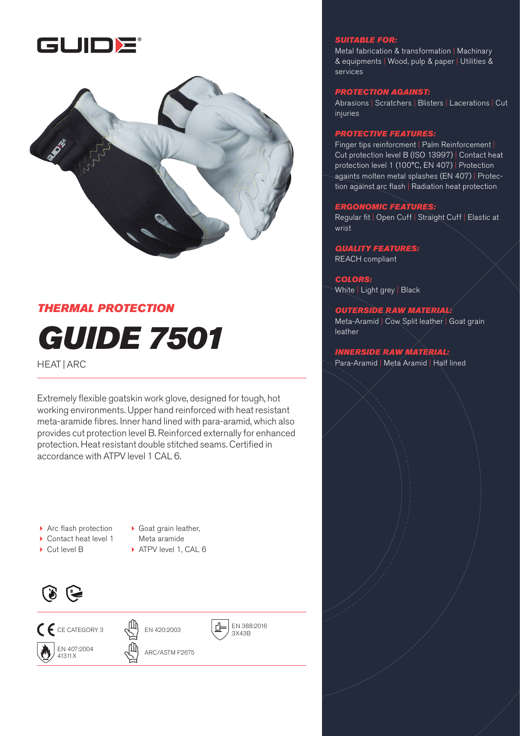



### *THERMAL PROTECTION*

# *GUIDE 7501*

**HEAT | ARC** 

Extremely flexible goatskin work glove, designed for tough, hot working environments. Upper hand reinforced with heat resistant meta-aramide fibres. Inner hand lined with para-aramid, which also provides cut protection level B. Reinforced externally for enhanced protection. Heat resistant double stitched seams. Certified in accordance with ATPV level 1 CAL 6.

- ▶ Arc flash protection
- Goat grain leather,
- ▶ Contact heat level 1
- Cut level B
- Meta aramide
- ATPV level 1, CAL 6







3X43B

*SUITABLE FOR:*

Metal fabrication & transformation | Machinary & equipments | Wood, pulp & paper | Utilities & services

#### *PROTECTION AGAINST:*

Abrasions | Scratchers | Blisters | Lacerations | Cut injuries

#### *PROTECTIVE FEATURES:*

Finger tips reinforcment | Palm Reinforcement | Cut protection level B (ISO 13997) | Contact heat protection level 1 (100°C, EN 407) | Protection againts molten metal splashes (EN 407) | Protection against arc flash | Radiation heat protection

#### *ERGONOMIC FEATURES:*

Regular fit | Open Cuff | Straight Cuff | Elastic at wrist

#### *QUALITY FEATURES:*

REACH compliant

*COLORS:* White | Light grey | Black

#### *OUTERSIDE RAW MATERIAL:*

Meta-Aramid | Cow Split leather | Goat grain leather

#### *INNERSIDE RAW MATERIAL:*

Para-Aramid | Meta Aramid | Half lined